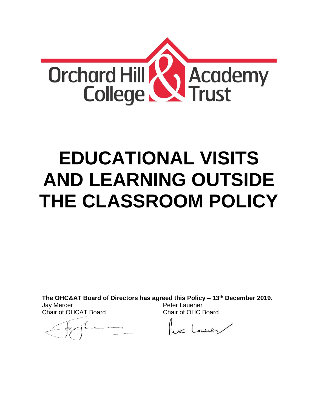

# **EDUCATIONAL VISITS AND LEARNING OUTSIDE THE CLASSROOM POLICY**

**The OHC&AT Board of Directors has agreed this Policy – 13th December 2019.**

Jay Mercer Chair of OHCAT Board

Peter Lauener Chair of OHC Board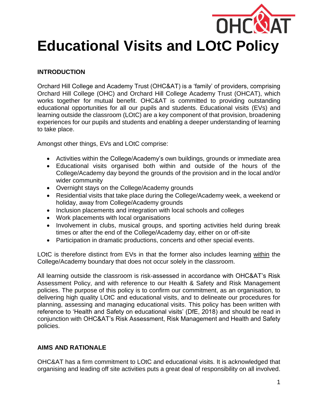

#### **INTRODUCTION**

Orchard Hill College and Academy Trust (OHC&AT) is a 'family' of providers, comprising Orchard Hill College (OHC) and Orchard Hill College Academy Trust (OHCAT), which works together for mutual benefit. OHC&AT is committed to providing outstanding educational opportunities for all our pupils and students. Educational visits (EVs) and learning outside the classroom (LOtC) are a key component of that provision, broadening experiences for our pupils and students and enabling a deeper understanding of learning to take place.

Amongst other things, EVs and LOtC comprise:

- Activities within the College/Academy's own buildings, grounds or immediate area
- Educational visits organised both within and outside of the hours of the College/Academy day beyond the grounds of the provision and in the local and/or wider community
- Overnight stays on the College/Academy grounds
- Residential visits that take place during the College/Academy week, a weekend or holiday, away from College/Academy grounds
- Inclusion placements and integration with local schools and colleges
- Work placements with local organisations
- Involvement in clubs, musical groups, and sporting activities held during break times or after the end of the College/Academy day, either on or off-site
- Participation in dramatic productions, concerts and other special events.

LOtC is therefore distinct from EVs in that the former also includes learning within the College/Academy boundary that does not occur solely in the classroom.

All learning outside the classroom is risk-assessed in accordance with OHC&AT's Risk Assessment Policy, and with reference to our Health & Safety and Risk Management policies. The purpose of this policy is to confirm our commitment, as an organisation, to delivering high quality LOtC and educational visits, and to delineate our procedures for planning, assessing and managing educational visits. This policy has been written with reference to 'Health and Safety on educational visits' (DfE, 2018) and should be read in conjunction with OHC&AT's Risk Assessment, Risk Management and Health and Safety policies.

## **AIMS AND RATIONALE**

OHC&AT has a firm commitment to LOtC and educational visits. It is acknowledged that organising and leading off site activities puts a great deal of responsibility on all involved.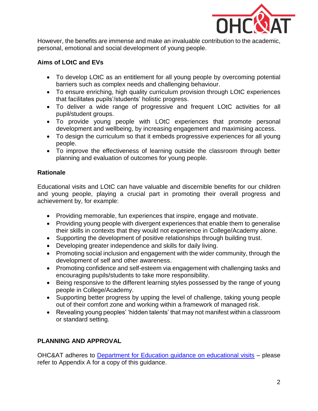

However, the benefits are immense and make an invaluable contribution to the academic, personal, emotional and social development of young people.

## **Aims of LOtC and EVs**

- To develop LOtC as an entitlement for all young people by overcoming potential barriers such as complex needs and challenging behaviour.
- To ensure enriching, high quality curriculum provision through LOtC experiences that facilitates pupils'/students' holistic progress.
- To deliver a wide range of progressive and frequent LOtC activities for all pupil/student groups.
- To provide young people with LOtC experiences that promote personal development and wellbeing, by increasing engagement and maximising access.
- To design the curriculum so that it embeds progressive experiences for all young people.
- To improve the effectiveness of learning outside the classroom through better planning and evaluation of outcomes for young people.

#### **Rationale**

Educational visits and LOtC can have valuable and discernible benefits for our children and young people, playing a crucial part in promoting their overall progress and achievement by, for example:

- Providing memorable, fun experiences that inspire, engage and motivate.
- Providing young people with divergent experiences that enable them to generalise their skills in contexts that they would not experience in College/Academy alone.
- Supporting the development of positive relationships through building trust.
- Developing greater independence and skills for daily living.
- Promoting social inclusion and engagement with the wider community, through the development of self and other awareness.
- Promoting confidence and self-esteem via engagement with challenging tasks and encouraging pupils/students to take more responsibility.
- Being responsive to the different learning styles possessed by the range of young people in College/Academy.
- Supporting better progress by upping the level of challenge, taking young people out of their comfort zone and working within a framework of managed risk.
- Revealing young peoples' 'hidden talents' that may not manifest within a classroom or standard setting.

## **PLANNING AND APPROVAL**

OHC&AT adheres to [Department for Education guidance on educational visits](https://www.gov.uk/government/publications/health-and-safety-on-educational-visits/health-and-safety-on-educational-visits) – please refer to Appendix A for a copy of this guidance.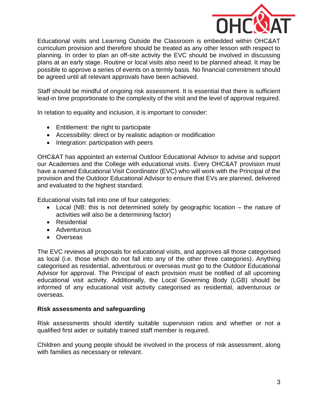

Educational visits and Learning Outside the Classroom is embedded within OHC&AT curriculum provision and therefore should be treated as any other lesson with respect to planning. In order to plan an off-site activity the EVC should be involved in discussing plans at an early stage. Routine or local visits also need to be planned ahead. It may be possible to approve a series of events on a termly basis. No financial commitment should be agreed until all relevant approvals have been achieved.

Staff should be mindful of ongoing risk assessment. It is essential that there is sufficient lead-in time proportionate to the complexity of the visit and the level of approval required.

In relation to equality and inclusion, it is important to consider:

- Entitlement: the right to participate
- Accessibility: direct or by realistic adaption or modification
- Integration: participation with peers

OHC&AT has appointed an external Outdoor Educational Advisor to advise and support our Academies and the College with educational visits. Every OHC&AT provision must have a named Educational Visit Coordinator (EVC) who will work with the Principal of the provision and the Outdoor Educational Advisor to ensure that EVs are planned, delivered and evaluated to the highest standard.

Educational visits fall into one of four categories:

- Local (NB: this is not determined solely by geographic location the nature of activities will also be a determining factor)
- Residential
- Adventurous
- Overseas

The EVC reviews all proposals for educational visits, and approves all those categorised as local (i.e. those which do not fall into any of the other three categories). Anything categorised as residential, adventurous or overseas must go to the Outdoor Educational Advisor for approval. The Principal of each provision must be notified of all upcoming educational visit activity. Additionally, the Local Governing Body (LGB) should be informed of any educational visit activity categorised as residential, adventurous or overseas.

#### **Risk assessments and safeguarding**

Risk assessments should identify suitable supervision ratios and whether or not a qualified first aider or suitably trained staff member is required.

Children and young people should be involved in the process of risk assessment, along with families as necessary or relevant.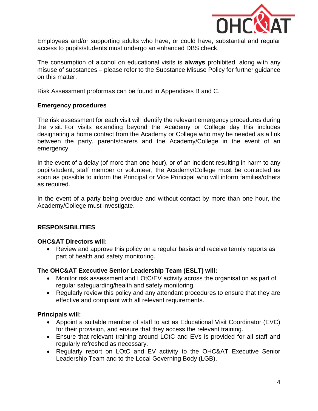

Employees and/or supporting adults who have, or could have, substantial and regular access to pupils/students must undergo an enhanced DBS check.

The consumption of alcohol on educational visits is **always** prohibited, along with any misuse of substances – please refer to the Substance Misuse Policy for further guidance on this matter.

Risk Assessment proformas can be found in Appendices B and C.

#### **Emergency procedures**

The risk assessment for each visit will identify the relevant emergency procedures during the visit. For visits extending beyond the Academy or College day this includes designating a home contact from the Academy or College who may be needed as a link between the party, parents/carers and the Academy/College in the event of an emergency.

In the event of a delay (of more than one hour), or of an incident resulting in harm to any pupil/student, staff member or volunteer, the Academy/College must be contacted as soon as possible to inform the Principal or Vice Principal who will inform families/others as required.

In the event of a party being overdue and without contact by more than one hour, the Academy/College must investigate.

#### **RESPONSIBILITIES**

#### **OHC&AT Directors will:**

 Review and approve this policy on a regular basis and receive termly reports as part of health and safety monitoring.

#### **The OHC&AT Executive Senior Leadership Team (ESLT) will:**

- Monitor risk assessment and LOtC/EV activity across the organisation as part of regular safeguarding/health and safety monitoring.
- Regularly review this policy and any attendant procedures to ensure that they are effective and compliant with all relevant requirements.

#### **Principals will:**

- Appoint a suitable member of staff to act as Educational Visit Coordinator (EVC) for their provision, and ensure that they access the relevant training.
- Ensure that relevant training around LOtC and EVs is provided for all staff and regularly refreshed as necessary.
- Regularly report on LOtC and EV activity to the OHC&AT Executive Senior Leadership Team and to the Local Governing Body (LGB).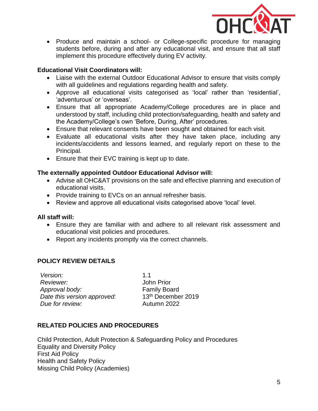

• Produce and maintain a school- or College-specific procedure for managing students before, during and after any educational visit, and ensure that all staff implement this procedure effectively during EV activity.

#### **Educational Visit Coordinators will:**

- Liaise with the external Outdoor Educational Advisor to ensure that visits comply with all guidelines and regulations regarding health and safety.
- Approve all educational visits categorised as 'local' rather than 'residential', 'adventurous' or 'overseas'.
- Ensure that all appropriate Academy/College procedures are in place and understood by staff, including child protection/safeguarding, health and safety and the Academy/College's own 'Before, During, After' procedures.
- Ensure that relevant consents have been sought and obtained for each visit.
- Evaluate all educational visits after they have taken place, including any incidents/accidents and lessons learned, and regularly report on these to the Principal.
- Ensure that their EVC training is kept up to date.

#### **The externally appointed Outdoor Educational Advisor will:**

- Advise all OHC&AT provisions on the safe and effective planning and execution of educational visits.
- Provide training to EVCs on an annual refresher basis.
- Review and approve all educational visits categorised above 'local' level.

#### **All staff will:**

- Ensure they are familiar with and adhere to all relevant risk assessment and educational visit policies and procedures.
- Report any incidents promptly via the correct channels.

## **POLICY REVIEW DETAILS**

*Version:* 1.1 *Reviewer:* John Prior *Approval body:* Family Board *Date this version approved:* 13th December 2019 *Due for review:* Autumn 2022

## **RELATED POLICIES AND PROCEDURES**

Child Protection, Adult Protection & Safeguarding Policy and Procedures Equality and Diversity Policy First Aid Policy Health and Safety Policy Missing Child Policy (Academies)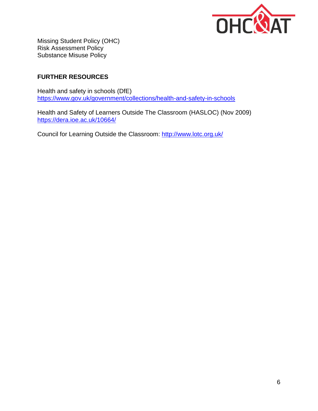

Missing Student Policy (OHC) Risk Assessment Policy Substance Misuse Policy

## **FURTHER RESOURCES**

Health and safety in schools (DfE) <https://www.gov.uk/government/collections/health-and-safety-in-schools>

Health and Safety of Learners Outside The Classroom (HASLOC) (Nov 2009) <https://dera.ioe.ac.uk/10664/>

Council for Learning Outside the Classroom:<http://www.lotc.org.uk/>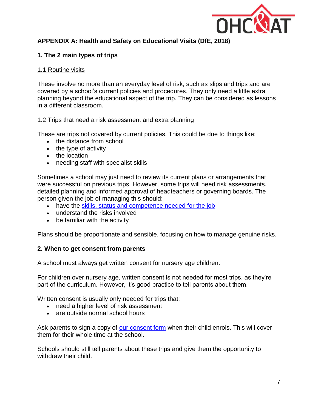

# **APPENDIX A: Health and Safety on Educational Visits (DfE, 2018)**

# **1. The 2 main types of trips**

## 1.1 Routine visits

These involve no more than an everyday level of risk, such as slips and trips and are covered by a school's current policies and procedures. They only need a little extra planning beyond the educational aspect of the trip. They can be considered as lessons in a different classroom.

## 1.2 Trips that need a risk assessment and extra planning

These are trips not covered by current policies. This could be due to things like:

- the distance from school
- the type of activity
- the location
- needing staff with specialist skills

Sometimes a school may just need to review its current plans or arrangements that were successful on previous trips. However, some trips will need risk assessments, detailed planning and informed approval of headteachers or governing boards. The person given the job of managing this should:

- have the [skills, status and competence needed for the job](https://www.gov.uk/government/publications/health-and-safety-on-educational-visits/health-and-safety-on-educational-visits#educationalvisistscoorindator)
- understand the risks involved
- be familiar with the activity

Plans should be proportionate and sensible, focusing on how to manage genuine risks.

## **2. When to get consent from parents**

A school must always get written consent for nursery age children.

For children over nursery age, written consent is not needed for most trips, as they're part of the curriculum. However, it's good practice to tell parents about them.

Written consent is usually only needed for trips that:

- need a higher level of risk assessment
- are outside normal school hours

Ask parents to sign a copy of [our consent form](https://www.gov.uk/government/publications/consent-for-school-trips-and-other-off-site-activities) when their child enrols. This will cover them for their whole time at the school.

Schools should still tell parents about these trips and give them the opportunity to withdraw their child.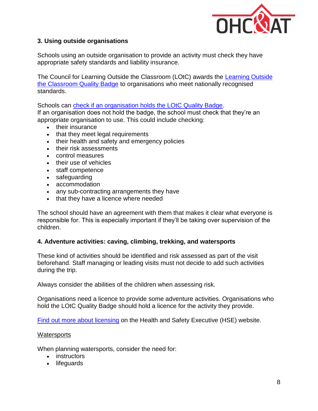

## **3. Using outside organisations**

Schools using an outside organisation to provide an activity must check they have appropriate safety standards and liability insurance.

The Council for [Learning Outside](http://lotcqualitybadge.org.uk/) the Classroom (LOtC) awards the Learning Outside [the Classroom Quality Badge](http://lotcqualitybadge.org.uk/) to organisations who meet nationally recognised standards.

Schools can [check if an organisation holds the LOtC Quality Badge.](http://lotcqualitybadge.org.uk/search) If an organisation does not hold the badge, the school must check that they're an appropriate organisation to use. This could include checking:

- their insurance
- that they meet legal requirements
- their health and safety and emergency policies
- their risk assessments
- control measures
- their use of vehicles
- staff competence
- safeguarding
- accommodation
- any sub-contracting arrangements they have
- that they have a licence where needed

The school should have an agreement with them that makes it clear what everyone is responsible for. This is especially important if they'll be taking over supervision of the children.

## **4. Adventure activities: caving, climbing, trekking, and watersports**

These kind of activities should be identified and risk assessed as part of the visit beforehand. Staff managing or leading visits must not decide to add such activities during the trip.

Always consider the abilities of the children when assessing risk.

Organisations need a licence to provide some adventure activities. Organisations who hold the LOtC Quality Badge should hold a licence for the activity they provide.

[Find out more about licensing](http://www.hse.gov.uk/aala/public-information.htm) on the Health and Safety Executive (HSE) website.

#### **Watersports**

When planning watersports, consider the need for:

- instructors
- lifeguards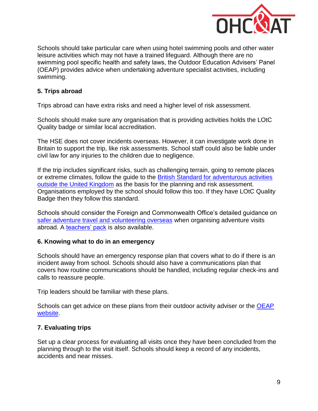

Schools should take particular care when using hotel swimming pools and other water leisure activities which may not have a trained lifeguard. Although there are no swimming pool specific health and safety laws, the Outdoor Education Advisers' Panel (OEAP) provides advice when undertaking adventure specialist activities, including swimming.

## **5. Trips abroad**

Trips abroad can have extra risks and need a higher level of risk assessment.

Schools should make sure any organisation that is providing activities holds the LOtC Quality badge or similar local accreditation.

The HSE does not cover incidents overseas. However, it can investigate work done in Britain to support the trip, like risk assessments. School staff could also be liable under civil law for any injuries to the children due to negligence.

If the trip includes significant risks, such as challenging terrain, going to remote places or extreme climates, follow the guide to the [British Standard for adventurous activities](https://www.bsigroup.com/en-GB/about-bsi/uk-national-standards-body/what-is-the-national-standards-body/why-standards-matter-for-consumers/consumer-resources/)  [outside the United Kingdom](https://www.bsigroup.com/en-GB/about-bsi/uk-national-standards-body/what-is-the-national-standards-body/why-standards-matter-for-consumers/consumer-resources/) as the basis for the planning and risk assessment. Organisations employed by the school should follow this too. If they have LOtC Quality Badge then they follow this standard.

Schools should consider the Foreign and Commonwealth Office's detailed guidance on [safer adventure travel and volunteering overseas](https://www.gov.uk/safer-adventure-travel-and-volunteering-overseas) when organising adventure visits abroad. A [teachers' pack](https://www.gov.uk/teachers-pack) is also available.

#### **6. Knowing what to do in an emergency**

Schools should have an emergency response plan that covers what to do if there is an incident away from school. Schools should also have a communications plan that covers how routine communications should be handled, including regular check-ins and calls to reassure people.

Trip leaders should be familiar with these plans.

Schools can get advice on these plans from their outdoor activity adviser or the [OEAP](https://oeapng.info/)  [website.](https://oeapng.info/)

#### **7. Evaluating trips**

Set up a clear process for evaluating all visits once they have been concluded from the planning through to the visit itself. Schools should keep a record of any incidents, accidents and near misses.